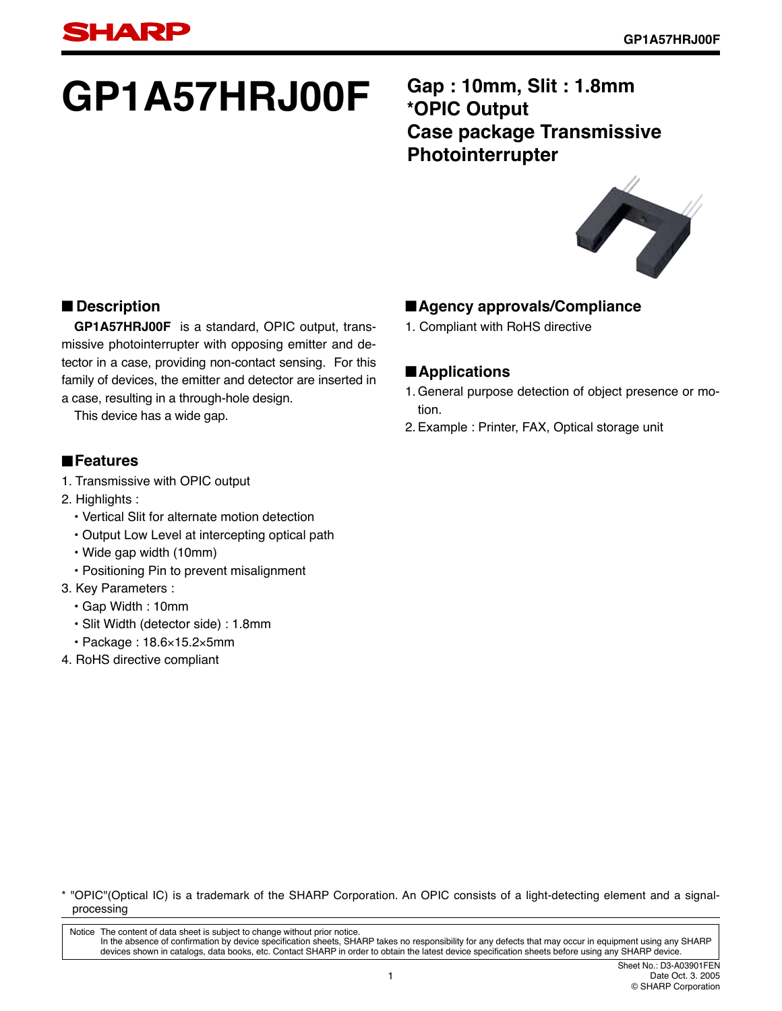# GP1A57HRJ00F **Gap : 10mm, Slit : 1.8mm**

# **\*OPIC Output Case package Transmissive Photointerrupter**



#### ■ **Description**

**GP1A57HRJ00F** is a standard, OPIC output, transmissive photointerrupter with opposing emitter and detector in a case, providing non-contact sensing. For this family of devices, the emitter and detector are inserted in a case, resulting in a through-hole design.

This device has a wide gap.

#### ■**Features**

- 1. Transmissive with OPIC output
- 2. Highlights :
	- Vertical Slit for alternate motion detection
	- Output Low Level at intercepting optical path
	- Wide gap width (10mm)
	- Positioning Pin to prevent misalignment
- 3. Key Parameters :
	- Gap Width : 10mm
	- Slit Width (detector side) : 1.8mm
	- Package : 18.6×15.2×5mm
- 4. RoHS directive compliant

#### ■**Agency approvals/Compliance**

1. Compliant with RoHS directive

#### ■**Applications**

- 1. General purpose detection of object presence or motion.
- 2. Example : Printer, FAX, Optical storage unit

\* "OPIC"(Optical IC) is a trademark of the SHARP Corporation. An OPIC consists of a light-detecting element and a signalprocessing

Notice The content of data sheet is subject to change without prior notice. In the absence of confirmation by device specification sheets, SHARP takes no responsibility for any defects that may occur in equipment using any SHARP<br>devices shown in catalogs, data books, etc. Contact SHARP in order to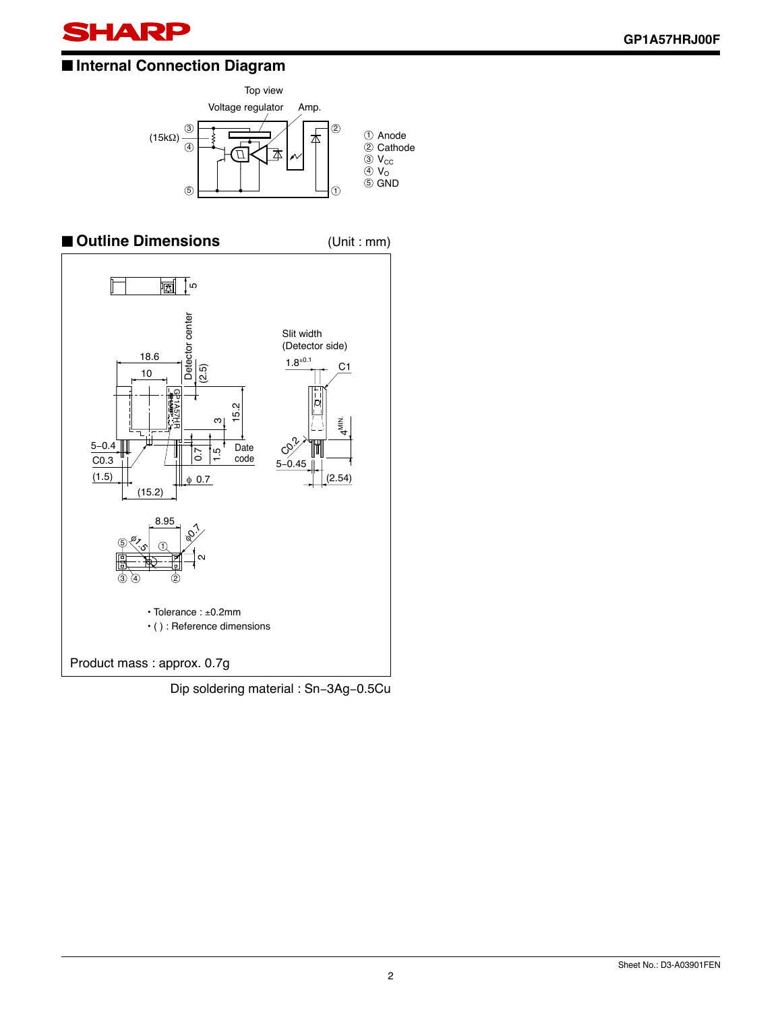

#### ■ **Internal Connection Diagram**





Dip soldering material : Sn−3Ag−0.5Cu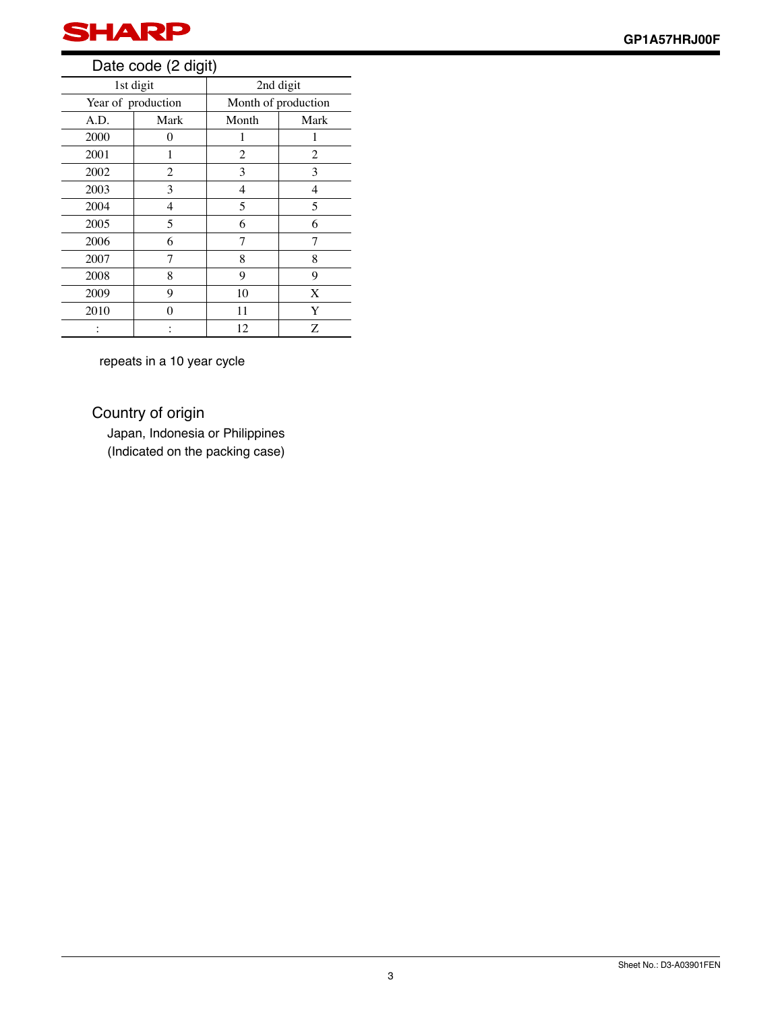

#### Date code (2 digit)

| 1st digit          |      | 2nd digit           |      |  |
|--------------------|------|---------------------|------|--|
| Year of production |      | Month of production |      |  |
| A.D.               | Mark | Month               | Mark |  |
| 2000               | 0    |                     |      |  |
| 2001               |      | 2                   | 2    |  |
| 2002               | 2    | 3                   | 3    |  |
| 2003               | 3    | 4                   | 4    |  |
| 2004               | 4    | 5                   | 5    |  |
| 2005               | 5    | 6                   | 6    |  |
| 2006               | 6    | 7                   |      |  |
| 2007               | 7    | 8                   | 8    |  |
| 2008               | 8    | 9                   | 9    |  |
| 2009               | 9    | 10                  | X    |  |
| 2010               | ∩    | 11                  | Y    |  |
|                    |      | 12                  | Ζ    |  |

repeats in a 10 year cycle

Country of origin

Japan, Indonesia or Philippines (Indicated on the packing case)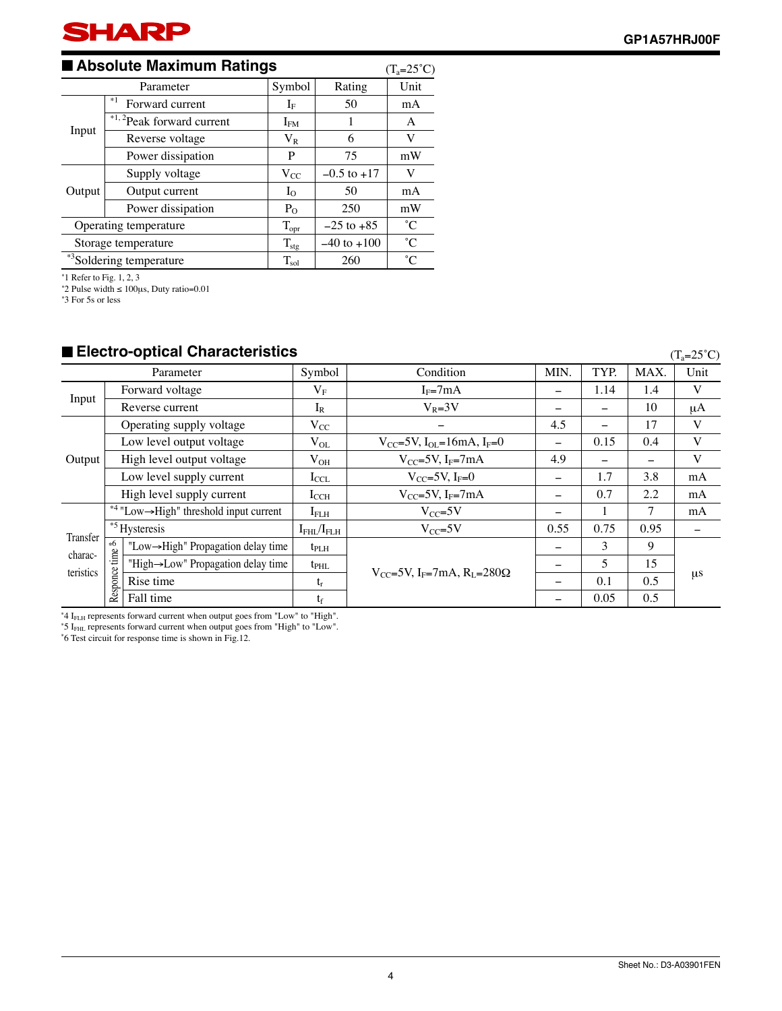

#### ■ **Absolute Maximum Ratings**

| ■ Absolute Maximum Ratings                          |                   |                    | $(T_a=25^{\circ}C)$ |             |
|-----------------------------------------------------|-------------------|--------------------|---------------------|-------------|
| Parameter                                           |                   | Symbol             | Rating              | Unit        |
| $*1$<br>Forward current<br>*1,2Peak forward current |                   | $\rm I_{F}$        | 50                  | mA          |
|                                                     |                   | $\rm I_{FM}$       | 1                   | A           |
| Input                                               | Reverse voltage   | $V_{R}$            | 6                   | V           |
|                                                     | Power dissipation | P                  | 75                  | mW          |
|                                                     | Supply voltage    | $V_{CC}$           | $-0.5$ to $+17$     | V           |
| Output                                              | Output current    | $I_{\Omega}$       | 50                  | mA          |
|                                                     | Power dissipation | $P_{O}$            | 250                 | mW          |
| Operating temperature                               |                   | $T_{\mathrm{opr}}$ | $-25$ to $+85$      | $^{\circ}C$ |
| Storage temperature                                 |                   | $T_{\text{stg}}$   | $-40$ to $+100$     | $^{\circ}C$ |
| *3Soldering temperature                             |                   | $T_{sol}$          | 260                 | $^{\circ}C$ |

∗ 1 Refer to Fig. 1, 2, 3 ∗ 2 Pulse width ≤ 100μs, Duty ratio=0.01

∗ 3 For 5s or less

#### ■ **Electro-optical Characteristics**

 $(T_a=25^\circ\text{C})$ 

|                                                   |                                    | Parameter                                           | Symbol                                                          | Condition                                              | <b>MIN</b>               | TYP.                     | MAX.    | Unit |
|---------------------------------------------------|------------------------------------|-----------------------------------------------------|-----------------------------------------------------------------|--------------------------------------------------------|--------------------------|--------------------------|---------|------|
|                                                   |                                    | Forward voltage                                     | $\rm V_F$                                                       | $I_F=7mA$                                              |                          | 1.14                     | 1.4     | V    |
| Input                                             |                                    | Reverse current                                     | $I_R$                                                           | $V_R = 3V$                                             |                          |                          | 10      | μA   |
|                                                   |                                    | Operating supply voltage                            | $V_{CC}$                                                        |                                                        | 4.5                      | $\overline{\phantom{0}}$ | 17      | V    |
|                                                   |                                    | Low level output voltage                            | $V_{OL}$                                                        | $V_{CC}$ =5V, I <sub>OL</sub> =16mA, I <sub>F</sub> =0 |                          | 0.15                     | 0.4     | V    |
| Output                                            |                                    | High level output voltage                           | $V_{OH}$                                                        | $V_{CC} = 5V$ , I <sub>F</sub> $= 7mA$                 | 4.9                      |                          |         | V    |
|                                                   |                                    | Low level supply current                            | $I_{\text{CCL}}$                                                | $V_{CC} = 5V$ , I <sub>F</sub> =0                      | $\qquad \qquad$          | 1.7                      | 3.8     | mA   |
|                                                   |                                    | High level supply current                           | $I_{\rm CCH}$                                                   | $V_{CC}$ =5V, I <sub>F</sub> =7mA                      | $\overline{\phantom{0}}$ | 0.7                      | 2.2     | mA   |
|                                                   |                                    | *4 "Low $\rightarrow$ High" threshold input current | I <sub>FLH</sub>                                                | $V_{CC} = 5V$                                          |                          |                          | 7       | mA   |
| Transfer                                          |                                    | * <sup>5</sup> Hysteresis                           | $I_{\rm FHL}/I_{\rm FLH}$                                       | $V_{CC} = 5V$                                          | 0.55                     | 0.75                     | 0.95    |      |
| Responce time $\tilde{e}$<br>charac-<br>teristics | "Low->High" Propagation delay time | $t_{\rm PLH}$                                       |                                                                 |                                                        | 3                        | 9                        |         |      |
|                                                   | "High->Low" Propagation delay time | $t_{\rm PHL}$                                       | $V_{CC}$ =5V, I <sub>F</sub> =7mA, R <sub>I</sub> =280 $\Omega$ | $\equiv$                                               | 5                        | 15                       |         |      |
|                                                   | Rise time                          | $t_{r}$                                             |                                                                 |                                                        | 0.1                      | 0.5                      | $\mu$ s |      |
|                                                   |                                    | Fall time                                           | tr                                                              |                                                        |                          | 0.05                     | 0.5     |      |

∗ 4 IFLH represents forward current when output goes from "Low" to "High".

∗ 5 IFHL represents forward current when output goes from "High" to "Low". ∗ 6 Test circuit for response time is shown in Fig.12.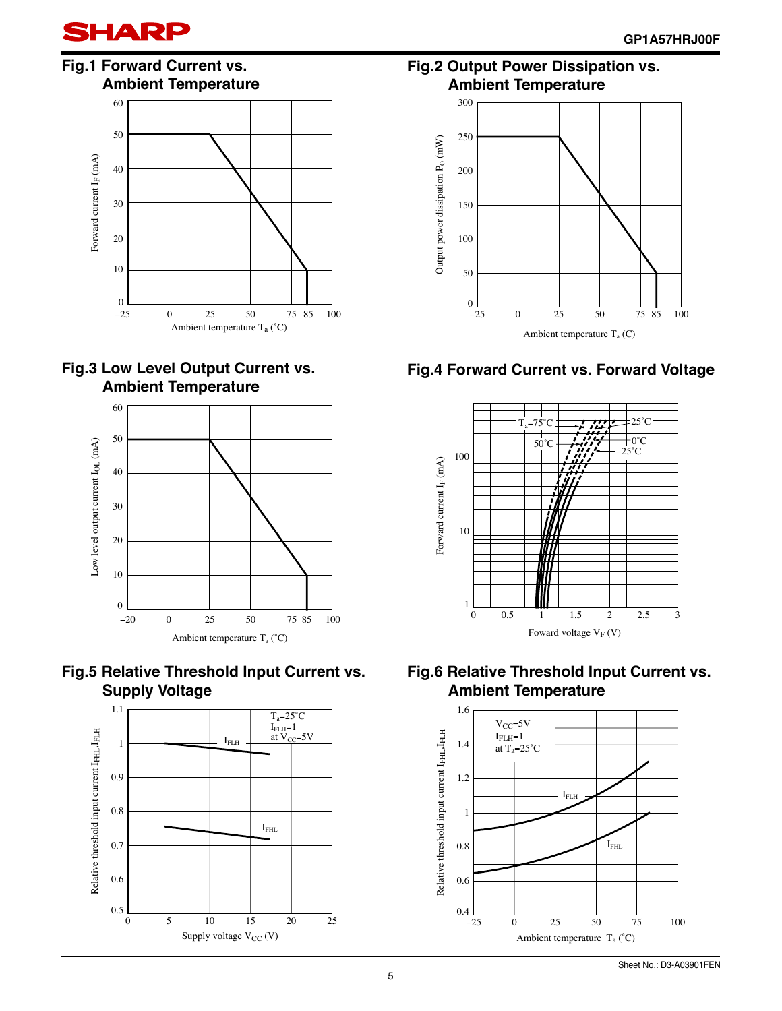













**Fig.2 Output Power Dissipation vs. Ambient Temperature**



#### **Fig.4 Forward Current vs. Forward Voltage**





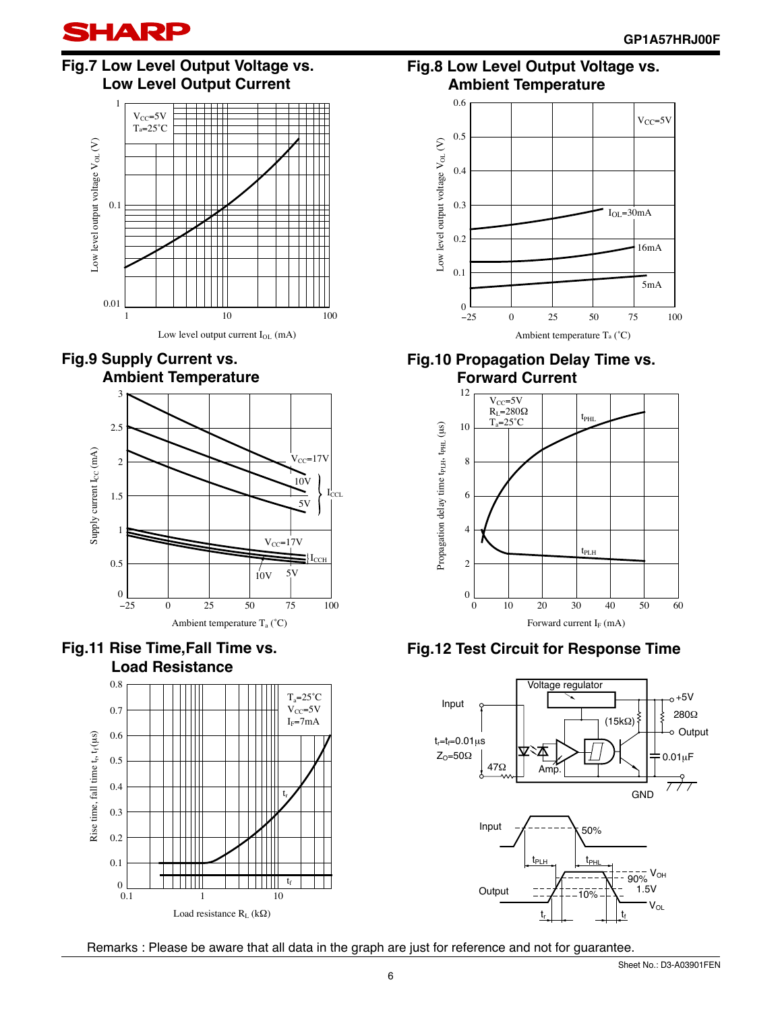

#### **Fig.7 Low Level Output Voltage vs. Low Level Output Current**











**Fig.8 Low Level Output Voltage vs. Ambient Temperature**



#### **Fig.10 Propagation Delay Time vs. Forward Current**



**Fig.12 Test Circuit for Response Time**



Remarks : Please be aware that all data in the graph are just for reference and not for guarantee.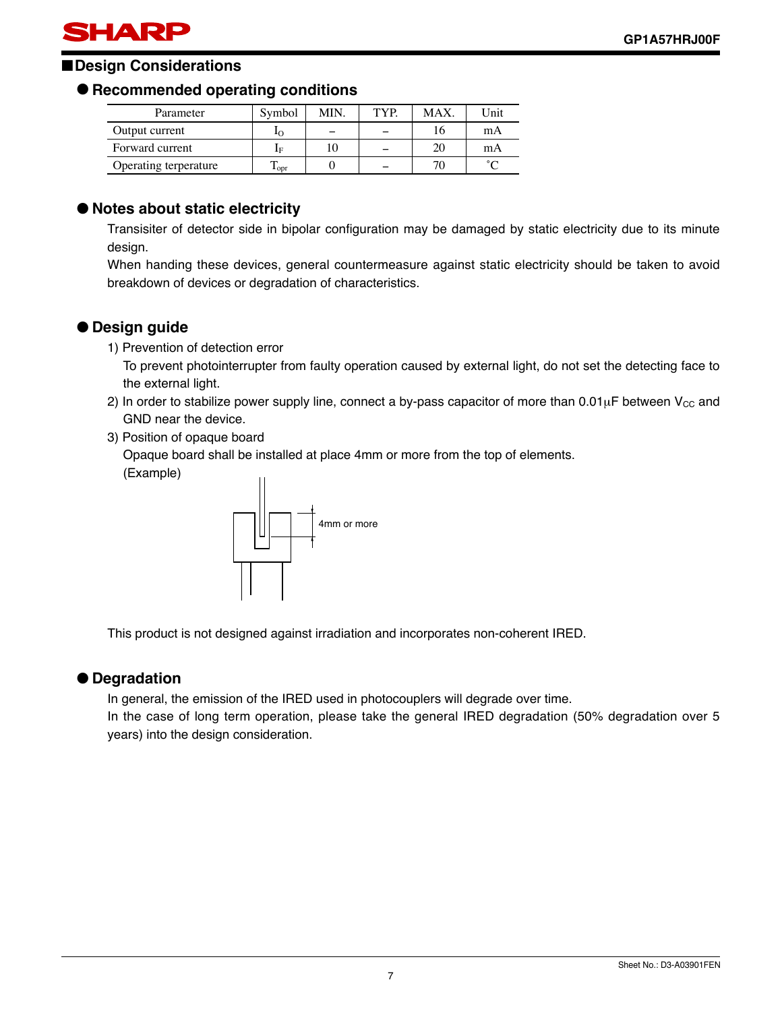### SHARP

#### ■**Design Considerations**

#### ● **Recommended operating conditions**

| Parameter             | Svmbol                    | МIN | TYP | MAX | Jnit   |
|-----------------------|---------------------------|-----|-----|-----|--------|
| Output current        |                           |     |     |     | mA     |
| Forward current       | ĪЕ                        |     |     | 20  | mA     |
| Operating terperature | $\mathbf{1}_{\text{ODT}}$ |     |     | 70  | $\sim$ |

#### ● **Notes about static electricity**

Transisiter of detector side in bipolar configuration may be damaged by static electricity due to its minute design.

When handing these devices, general countermeasure against static electricity should be taken to avoid breakdown of devices or degradation of characteristics.

#### ● **Design guide**

1) Prevention of detection error

To prevent photointerrupter from faulty operation caused by external light, do not set the detecting face to the external light.

- 2) In order to stabilize power supply line, connect a by-pass capacitor of more than  $0.01\mu$ F between V<sub>CC</sub> and GND near the device.
- 3) Position of opaque board

Opaque board shall be installed at place 4mm or more from the top of elements.

(Example)



This product is not designed against irradiation and incorporates non-coherent IRED.

#### ● **Degradation**

In general, the emission of the IRED used in photocouplers will degrade over time.

In the case of long term operation, please take the general IRED degradation (50% degradation over 5 years) into the design consideration.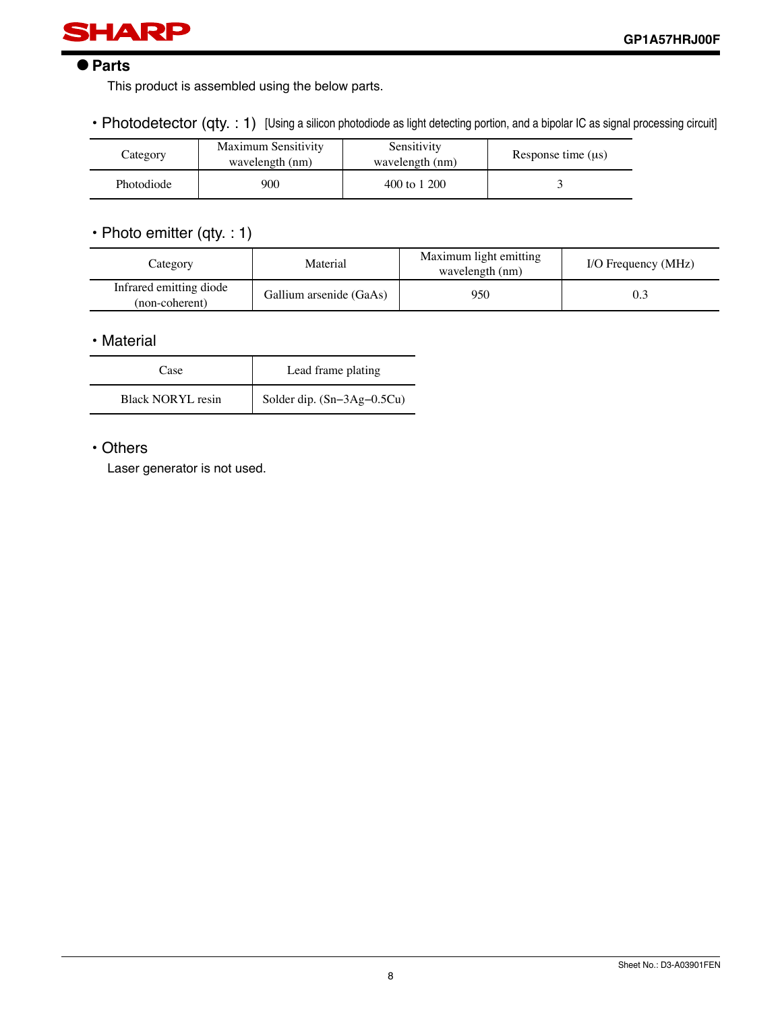

#### ● **Parts**

This product is assembled using the below parts.

• Photodetector (qty. : 1) [Using a silicon photodiode as light detecting portion, and a bipolar IC as signal processing circuit]

| Category   | <b>Maximum Sensitivity</b><br>wavelength (nm) | Sensitivity<br>wavelength (nm) | Response time $(us)$ |
|------------|-----------------------------------------------|--------------------------------|----------------------|
| Photodiode | 900                                           | 400 to 1 200                   |                      |

#### • Photo emitter (qty. : 1)

| Category                                  | Material                | Maximum light emitting<br>wavelength (nm) | I/O Frequency (MHz) |
|-------------------------------------------|-------------------------|-------------------------------------------|---------------------|
| Infrared emitting diode<br>(non-coherent) | Gallium arsenide (GaAs) | 950                                       | 0.3                 |

#### • Material

| Case                     | Lead frame plating           |
|--------------------------|------------------------------|
| <b>Black NORYL resin</b> | Solder dip. $(Sn-3Ag-0.5Cu)$ |

#### • Others

Laser generator is not used.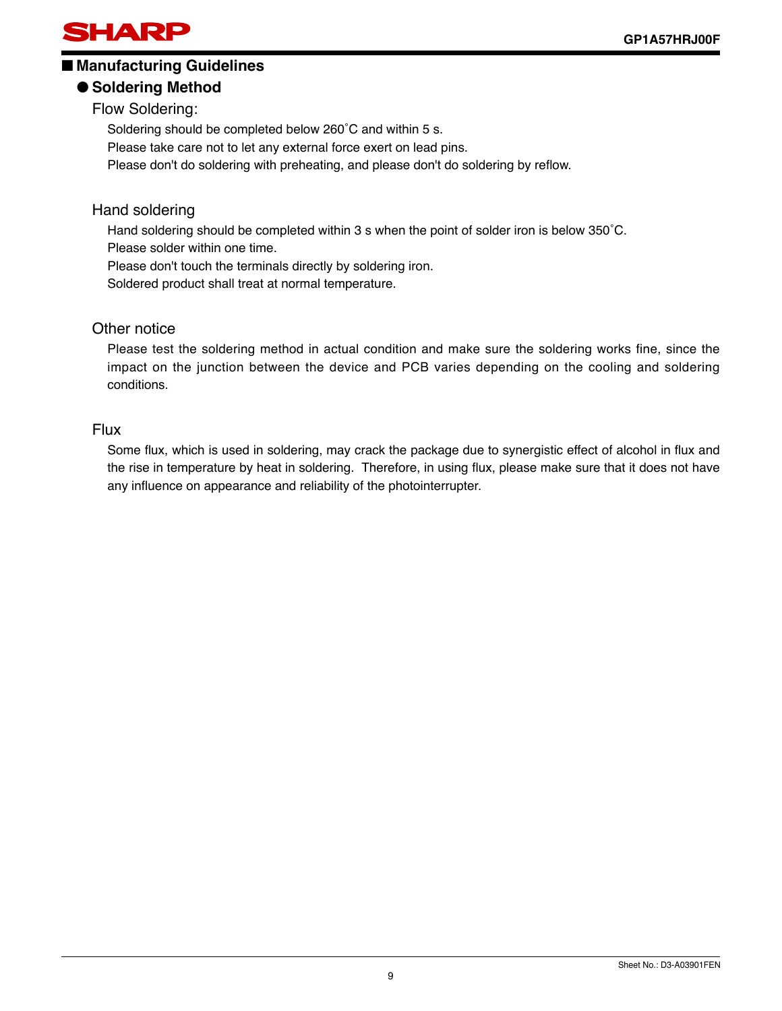

#### ■ Manufacturing Guidelines

#### ● **Soldering Method**

Flow Soldering:

Soldering should be completed below 260˚C and within 5 s.

Please take care not to let any external force exert on lead pins.

Please don't do soldering with preheating, and please don't do soldering by reflow.

#### Hand soldering

Hand soldering should be completed within 3 s when the point of solder iron is below 350̊C.

Please solder within one time.

Please don't touch the terminals directly by soldering iron.

Soldered product shall treat at normal temperature.

#### Other notice

Please test the soldering method in actual condition and make sure the soldering works fine, since the impact on the junction between the device and PCB varies depending on the cooling and soldering conditions.

#### Flux

Some flux, which is used in soldering, may crack the package due to synergistic effect of alcohol in flux and the rise in temperature by heat in soldering. Therefore, in using flux, please make sure that it does not have any influence on appearance and reliability of the photointerrupter.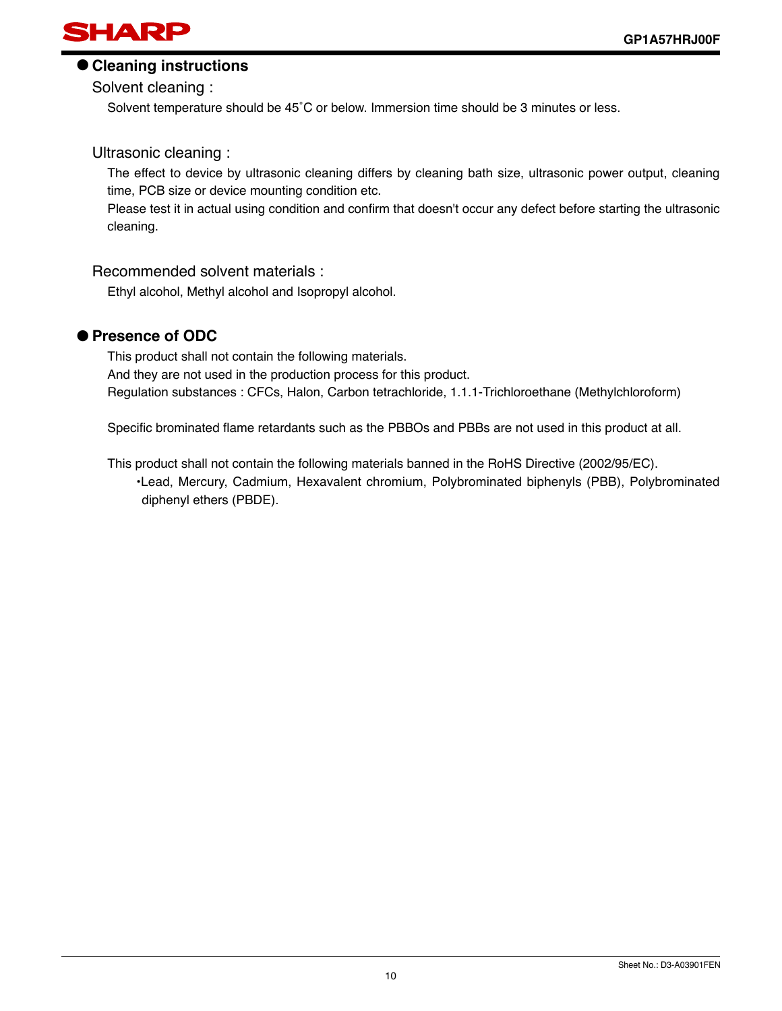

#### ● **Cleaning instructions**

Solvent cleaning :

Solvent temperature should be 45˚C or below. Immersion time should be 3 minutes or less.

#### Ultrasonic cleaning :

The effect to device by ultrasonic cleaning differs by cleaning bath size, ultrasonic power output, cleaning time, PCB size or device mounting condition etc.

Please test it in actual using condition and confirm that doesn't occur any defect before starting the ultrasonic cleaning.

#### Recommended solvent materials :

Ethyl alcohol, Methyl alcohol and Isopropyl alcohol.

#### ● **Presence of ODC**

This product shall not contain the following materials. And they are not used in the production process for this product. Regulation substances : CFCs, Halon, Carbon tetrachloride, 1.1.1-Trichloroethane (Methylchloroform)

Specific brominated flame retardants such as the PBBOs and PBBs are not used in this product at all.

This product shall not contain the following materials banned in the RoHS Directive (2002/95/EC). •Lead, Mercury, Cadmium, Hexavalent chromium, Polybrominated biphenyls (PBB), Polybrominated diphenyl ethers (PBDE).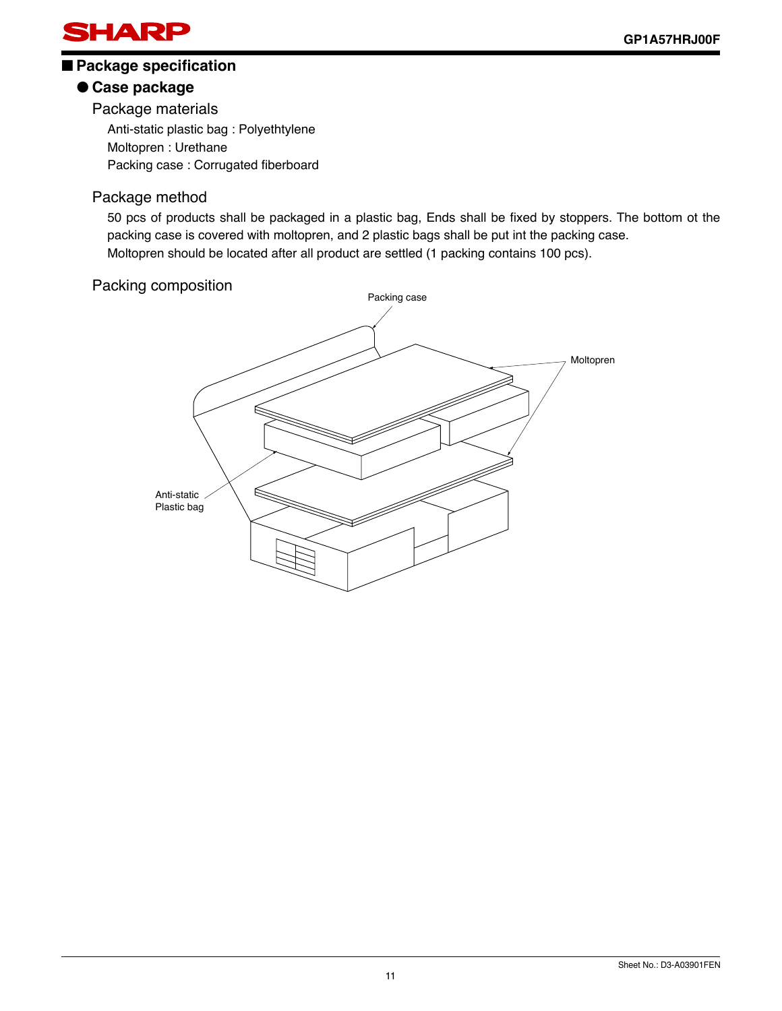

#### ■ Package specification

#### ● **Case package**

Package materials

Anti-static plastic bag : Polyethtylene Moltopren : Urethane Packing case : Corrugated fiberboard

#### Package method

50 pcs of products shall be packaged in a plastic bag, Ends shall be fixed by stoppers. The bottom ot the packing case is covered with moltopren, and 2 plastic bags shall be put int the packing case. Moltopren should be located after all product are settled (1 packing contains 100 pcs).

#### Packing composition